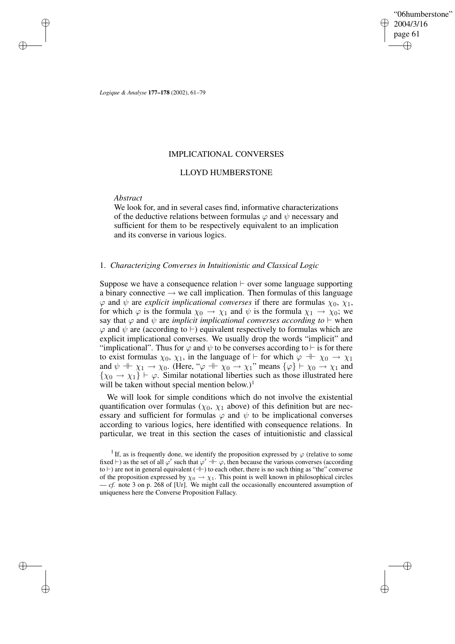"06humberstone" 2004/3/16 page 61 ✐ ✐

✐

✐

*Logique & Analyse* **177–178** (2002), 61–79

# IMPLICATIONAL CONVERSES

# LLOYD HUMBERSTONE

## *Abstract*

✐

✐

✐

✐

We look for, and in several cases find, informative characterizations of the deductive relations between formulas  $\varphi$  and  $\psi$  necessary and sufficient for them to be respectively equivalent to an implication and its converse in various logics.

## 1. *Characterizing Converses in Intuitionistic and Classical Logic*

Suppose we have a consequence relation  $\vdash$  over some language supporting a binary connective  $\rightarrow$  we call implication. Then formulas of this language  $\varphi$  and  $\psi$  are *explicit implicational converses* if there are formulas  $\chi_0$ ,  $\chi_1$ , for which  $\varphi$  is the formula  $\chi_0 \to \chi_1$  and  $\psi$  is the formula  $\chi_1 \to \chi_0$ ; we say that  $\varphi$  and  $\psi$  are *implicit implicational converses according to*  $\vdash$  when  $\varphi$  and  $\psi$  are (according to  $\vdash$ ) equivalent respectively to formulas which are explicit implicational converses. We usually drop the words "implicit" and "implicational". Thus for  $\varphi$  and  $\psi$  to be converses according to  $\vdash$  is for there to exist formulas  $\chi_0, \chi_1$ , in the language of  $\vdash$  for which  $\varphi \dashv \vdash \chi_0 \to \chi_1$ and  $\psi \dashv\vdash \chi_1 \to \chi_0$ . (Here, " $\varphi \dashv\vdash \chi_0 \to \chi_1$ " means  $\{\varphi\} \vdash \chi_0 \to \chi_1$  and  $\{\chi_0 \to \chi_1\} \vdash \varphi$ . Similar notational liberties such as those illustrated here will be taken without special mention below.)<sup>1</sup>

We will look for simple conditions which do not involve the existential quantification over formulas ( $\chi_0$ ,  $\chi_1$  above) of this definition but are necessary and sufficient for formulas  $\varphi$  and  $\psi$  to be implicational converses according to various logics, here identified with consequence relations. In particular, we treat in this section the cases of intuitionistic and classical

<sup>&</sup>lt;sup>1</sup> If, as is frequently done, we identify the proposition expressed by  $\varphi$  (relative to some fixed  $\vdash$ ) as the set of all  $\varphi'$  such that  $\varphi' \dashv \vdash \varphi$ , then because the various converses (according to  $\vdash$ ) are not in general equivalent ( $\dashv$ ) to each other, there is no such thing as "the" converse of the proposition expressed by  $\chi_0 \to \chi_1$ . This point is well known in philosophical circles — *cf.* note 3 on p. 268 of [Ur]. We might call the occasionally encountered assumption of uniqueness here the Converse Proposition Fallacy.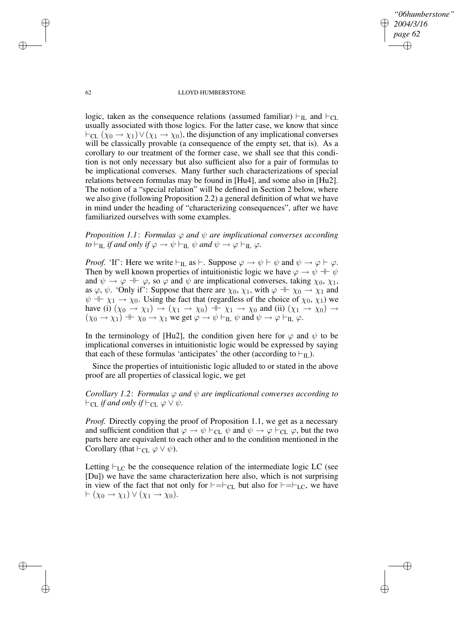✐

## 62 LLOYD HUMBERSTONE

logic, taken as the consequence relations (assumed familiar)  $\vdash_{\text{IL}}$  and  $\vdash_{\text{CL}}$ usually associated with those logics. For the latter case, we know that since  $\vdash_{CL} (\chi_0 \to \chi_1) \lor (\chi_1 \to \chi_0)$ , the disjunction of any implicational converses will be classically provable (a consequence of the empty set, that is). As a corollary to our treatment of the former case, we shall see that this condition is not only necessary but also sufficient also for a pair of formulas to be implicational converses. Many further such characterizations of special relations between formulas may be found in [Hu4], and some also in [Hu2]. The notion of a "special relation" will be defined in Section 2 below, where we also give (following Proposition 2.2) a general definition of what we have in mind under the heading of "characterizing consequences", after we have familiarized ourselves with some examples.

*Proposition* 1.1: *Formulas*  $\varphi$  *and*  $\psi$  *are implicational converses according to*  $\vdash$ <sub>IL</sub> *if and only if*  $\varphi \to \psi \vdash$ <sub>IL</sub>  $\psi$  *and*  $\psi \to \varphi \vdash$ <sub>IL</sub>  $\varphi$ *.* 

*Proof.* 'If': Here we write  $\vdash_{\text{IL}}$  as  $\vdash$ . Suppose  $\varphi \rightarrow \psi \vdash \psi$  and  $\psi \rightarrow \varphi \vdash \varphi$ . Then by well known properties of intuitionistic logic we have  $\varphi \to \psi + \psi$ and  $\psi \to \varphi + \varphi$ , so  $\varphi$  and  $\psi$  are implicational converses, taking  $\chi_0$ ,  $\chi_1$ , as  $\varphi$ ,  $\psi$ . 'Only if': Suppose that there are  $\chi_0$ ,  $\chi_1$ , with  $\varphi \dashv \chi_0 \to \chi_1$  and  $\psi$  +  $\chi_1$   $\to$   $\chi_0$ . Using the fact that (regardless of the choice of  $\chi_0$ ,  $\chi_1$ ) we have (i)  $(\chi_0 \to \chi_1) \to (\chi_1 \to \chi_0) \to \chi_1 \to \chi_0$  and (ii)  $(\chi_1 \to \chi_0) \to$  $(\chi_0 \to \chi_1) \dashv \vdash \chi_0 \to \chi_1$  we get  $\varphi \to \psi \vdash_{\text{IL}} \psi$  and  $\psi \to \varphi \vdash_{\text{IL}} \varphi$ .

In the terminology of [Hu2], the condition given here for  $\varphi$  and  $\psi$  to be implicational converses in intuitionistic logic would be expressed by saying that each of these formulas 'anticipates' the other (according to  $\vdash_{\text{IL}}$ ).

Since the properties of intuitionistic logic alluded to or stated in the above proof are all properties of classical logic, we get

*Corollary* 1.2: *Formulas*  $\varphi$  *and*  $\psi$  *are implicational converses according to*  $\vdash_{\text{CL}}$  *if and only if*  $\vdash_{\text{CL}} \varphi \lor \psi$ *.* 

*Proof.* Directly copying the proof of Proposition 1.1, we get as a necessary and sufficient condition that  $\varphi \to \psi \vdash_{CL} \psi$  and  $\psi \to \varphi \vdash_{CL} \varphi$ , but the two parts here are equivalent to each other and to the condition mentioned in the Corollary (that  $\vdash_{\text{CL}} \varphi \lor \psi$ ).

Letting  $\vdash_{LC}$  be the consequence relation of the intermediate logic LC (see [Du]) we have the same characterization here also, which is not surprising in view of the fact that not only for  $\models =\vdash_{CL}$  but also for  $\models =\vdash_{LC}$ , we have  $\vdash (\chi_0 \to \chi_1) \vee (\chi_1 \to \chi_0).$ 

✐

✐

✐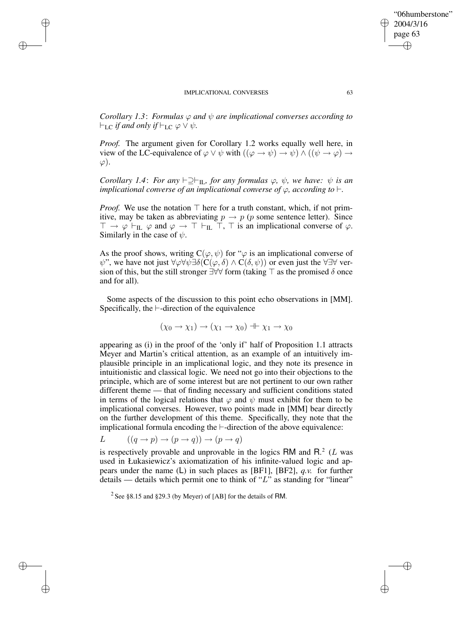✐

✐

✐

✐

*Corollary* 1.3: *Formulas*  $\varphi$  *and*  $\psi$  *are implicational converses according to*  $\vdash_{LC}$  *if and only if*  $\vdash_{LC} \varphi \vee \psi$ *.* 

*Proof.* The argument given for Corollary 1.2 works equally well here, in view of the LC-equivalence of  $\varphi \lor \psi$  with  $((\varphi \to \psi) \to \psi) \land ((\psi \to \varphi) \to \psi)$  $\varphi$ ).

*Corollary* 1.4: *For any*  $\vdash \supseteq \vdash_{\Pi}$ *, for any formulas*  $\varphi$ *,*  $\psi$ *, we have:*  $\psi$  *is an implicational converse of an implicational converse of*  $\varphi$ *, according to*  $\vdash$ *.* 

*Proof.* We use the notation  $\top$  here for a truth constant, which, if not primitive, may be taken as abbreviating  $p \to p$  (p some sentence letter). Since  $\top \rightarrow \varphi \vdash_{\text{IL}} \varphi$  and  $\varphi \rightarrow \top \vdash_{\text{IL}} \top$ ,  $\top$  is an implicational converse of  $\varphi$ . Similarly in the case of  $\psi$ .

As the proof shows, writing  $C(\varphi, \psi)$  for " $\varphi$  is an implicational converse of  $\psi$ ", we have not just  $\forall \varphi \forall \psi \exists \delta(C(\varphi, \delta) \land C(\delta, \psi))$  or even just the  $\forall \exists \forall$  version of this, but the still stronger  $\exists \forall \forall$  form (taking  $\top$  as the promised  $\delta$  once and for all).

Some aspects of the discussion to this point echo observations in [MM]. Specifically, the  $\vdash$ -direction of the equivalence

 $(\chi_0 \to \chi_1) \to (\chi_1 \to \chi_0) \to \chi_1 \to \chi_0$ 

appearing as (i) in the proof of the 'only if' half of Proposition 1.1 attracts Meyer and Martin's critical attention, as an example of an intuitively implausible principle in an implicational logic, and they note its presence in intuitionistic and classical logic. We need not go into their objections to the principle, which are of some interest but are not pertinent to our own rather different theme — that of finding necessary and sufficient conditions stated in terms of the logical relations that  $\varphi$  and  $\psi$  must exhibit for them to be implicational converses. However, two points made in [MM] bear directly on the further development of this theme. Specifically, they note that the implicational formula encoding the  $\vdash$ -direction of the above equivalence:

$$
L \qquad ((q \to p) \to (p \to q)) \to (p \to q)
$$

is respectively provable and unprovable in the logics RM and R.<sup>2</sup> ( $L$  was used in Łukasiewicz's axiomatization of his infinite-valued logic and appears under the name (L) in such places as [BF1], [BF2], *q.v.* for further details — details which permit one to think of " $L$ " as standing for "linear"

<sup>2</sup> See §8.15 and §29.3 (by Meyer) of [AB] for the details of RM.

"06humberstone"

2004/3/16 page 63

✐

✐

✐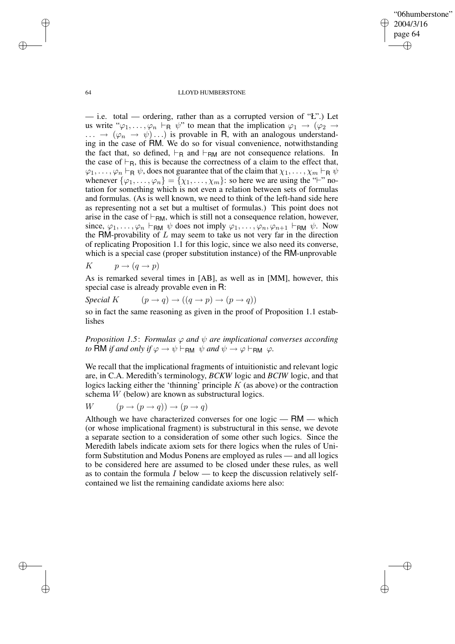✐

## 64 LLOYD HUMBERSTONE

— i.e. total — ordering, rather than as a corrupted version of "Ł".) Let us write " $\varphi_1, \ldots, \varphi_n \vdash_R \psi$ " to mean that the implication  $\varphi_1 \rightarrow (\varphi_2 \rightarrow$  $\ldots \rightarrow (\varphi_n \rightarrow \psi) \ldots$  is provable in R, with an analogous understanding in the case of RM. We do so for visual convenience, notwithstanding the fact that, so defined,  $\vdash_R$  and  $\vdash_{RM}$  are not consequence relations. In the case of  $\vdash_R$ , this is because the correctness of a claim to the effect that,  $\varphi_1, \ldots, \varphi_n \vdash_R \psi$ , does not guarantee that of the claim that  $\chi_1, \ldots, \chi_m \vdash_R \psi$ whenever  $\{\varphi_1, \ldots, \varphi_n\} = \{\chi_1, \ldots, \chi_m\}$ : so here we are using the " $\vdash$ " notation for something which is not even a relation between sets of formulas and formulas. (As is well known, we need to think of the left-hand side here as representing not a set but a multiset of formulas.) This point does not arise in the case of  $\vdash_{\mathsf{RM}}$ , which is still not a consequence relation, however, since,  $\varphi_1, \ldots, \varphi_n \vdash_{\mathsf{RM}} \psi$  does not imply  $\varphi_1, \ldots, \varphi_n, \varphi_{n+1} \vdash_{\mathsf{RM}} \psi$ . Now the RM-provability of  $L$  may seem to take us not very far in the direction of replicating Proposition 1.1 for this logic, since we also need its converse, which is a special case (proper substitution instance) of the RM-unprovable

K  $p \rightarrow (q \rightarrow p)$ 

As is remarked several times in [AB], as well as in [MM], however, this special case is already provable even in R:

*Special* K  $(p \rightarrow q) \rightarrow ((q \rightarrow p) \rightarrow (p \rightarrow q))$ 

so in fact the same reasoning as given in the proof of Proposition 1.1 establishes

*Proposition* 1.5: *Formulas*  $\varphi$  *and*  $\psi$  *are implicational converses according to* RM *if* and only if  $\varphi \to \psi \vdash_{\mathsf{RM}} \psi$  and  $\psi \to \varphi \vdash_{\mathsf{RM}} \varphi$ .

We recall that the implicational fragments of intuitionistic and relevant logic are, in C.A. Meredith's terminology, *BCKW* logic and *BCIW* logic, and that logics lacking either the 'thinning' principle  $K$  (as above) or the contraction schema W (below) are known as substructural logics.

$$
W \qquad (p \to (p \to q)) \to (p \to q)
$$

Although we have characterized converses for one logic — RM — which (or whose implicational fragment) is substructural in this sense, we devote a separate section to a consideration of some other such logics. Since the Meredith labels indicate axiom sets for there logics when the rules of Uniform Substitution and Modus Ponens are employed as rules — and all logics to be considered here are assumed to be closed under these rules, as well as to contain the formula I below — to keep the discussion relatively selfcontained we list the remaining candidate axioms here also:

✐

✐

✐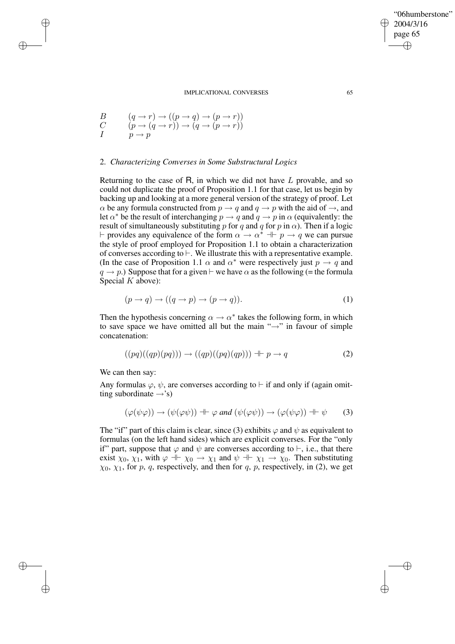$$
\begin{array}{lll} B & (q\rightarrow r)\rightarrow ((p\rightarrow q)\rightarrow (p\rightarrow r)) \\ C & (p\rightarrow (q\rightarrow r))\rightarrow (q\rightarrow (p\rightarrow r)) \\ I & p\rightarrow p \end{array}
$$

✐

✐

✐

✐

# 2. *Characterizing Converses in Some Substructural Logics*

Returning to the case of  $R$ , in which we did not have  $L$  provable, and so could not duplicate the proof of Proposition 1.1 for that case, let us begin by backing up and looking at a more general version of the strategy of proof. Let  $\alpha$  be any formula constructed from  $p \rightarrow q$  and  $q \rightarrow p$  with the aid of  $\rightarrow$ , and Let  $\alpha^*$  be the result of interchanging  $p \to q$  and  $q \to p$  in  $\alpha$  (equivalently: the result of simultaneously substituting p for q and q for p in  $\alpha$ ). Then if a logic  $\vdash$  provides any equivalence of the form  $\alpha \to \alpha^*$  +  $p \to q$  we can pursue the style of proof employed for Proposition 1.1 to obtain a characterization of converses according to  $\vdash$ . We illustrate this with a representative example. (In the case of Proposition 1.1  $\alpha$  and  $\alpha^*$  were respectively just  $p \to q$  and  $q \rightarrow p$ .) Suppose that for a given  $\vdash$  we have  $\alpha$  as the following (= the formula Special  $K$  above):

$$
(p \to q) \to ((q \to p) \to (p \to q)). \tag{1}
$$

Then the hypothesis concerning  $\alpha \to \alpha^*$  takes the following form, in which to save space we have omitted all but the main " $\rightarrow$ " in favour of simple concatenation:

$$
((pq)((qp)(pq))) \rightarrow ((qp)((pq)(qp))) \dashv \vdash p \rightarrow q \tag{2}
$$

We can then say:

Any formulas  $\varphi$ ,  $\psi$ , are converses according to  $\vdash$  if and only if (again omitting subordinate  $\rightarrow$ 's)

$$
(\varphi(\psi\varphi)) \to (\psi(\varphi\psi)) \dashv \vdash \varphi \text{ and } (\psi(\varphi\psi)) \to (\varphi(\psi\varphi)) \dashv \vdash \psi \qquad (3)
$$

The "if" part of this claim is clear, since (3) exhibits  $\varphi$  and  $\psi$  as equivalent to formulas (on the left hand sides) which are explicit converses. For the "only if" part, suppose that  $\varphi$  and  $\psi$  are converses according to  $\vdash$ , i.e., that there exist  $\chi_0$ ,  $\chi_1$ , with  $\varphi \dashv \chi_0 \to \chi_1$  and  $\psi \dashv \chi_1 \to \chi_0$ . Then substituting  $\chi_0$ ,  $\chi_1$ , for p, q, respectively, and then for q, p, respectively, in (2), we get

"06humberstone"

2004/3/16 page 65

✐

✐

✐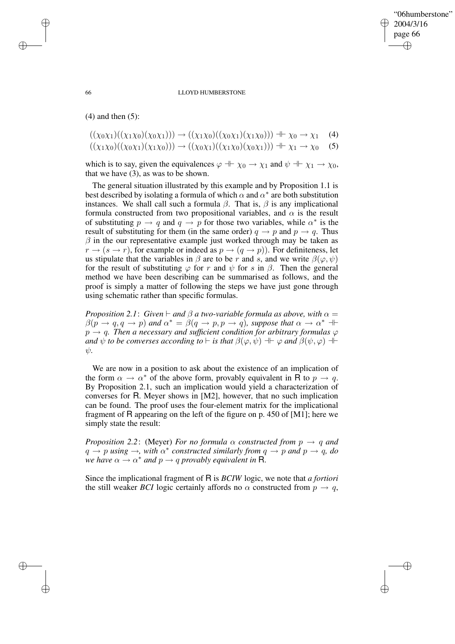✐

## 66 LLOYD HUMBERSTONE

 $(4)$  and then  $(5)$ :

$$
((\chi_0 \chi_1)((\chi_1 \chi_0)(\chi_0 \chi_1))) \to ((\chi_1 \chi_0)((\chi_0 \chi_1)(\chi_1 \chi_0))) + \chi_0 \to \chi_1 \quad (4)
$$
  

$$
((\chi_1 \chi_0)((\chi_0 \chi_1)(\chi_1 \chi_0))) \to ((\chi_0 \chi_1)((\chi_1 \chi_0)(\chi_0 \chi_1))) + \chi_1 \to \chi_0 \quad (5)
$$

which is to say, given the equivalences  $\varphi \dashv \vdash \chi_0 \to \chi_1$  and  $\psi \dashv \vdash \chi_1 \to \chi_0$ , that we have (3), as was to be shown.

The general situation illustrated by this example and by Proposition 1.1 is best described by isolating a formula of which  $\alpha$  and  $\alpha^*$  are both substitution instances. We shall call such a formula  $\beta$ . That is,  $\beta$  is any implicational formula constructed from two propositional variables, and  $\alpha$  is the result of substituting  $p \to q$  and  $q \to p$  for those two variables, while  $\alpha^*$  is the result of substituting for them (in the same order)  $q \to p$  and  $p \to q$ . Thus  $\beta$  in the our representative example just worked through may be taken as  $r \rightarrow (s \rightarrow r)$ , for example or indeed as  $p \rightarrow (q \rightarrow p)$ ). For definiteness, let us stipulate that the variables in  $\beta$  are to be r and s, and we write  $\beta(\varphi, \psi)$ for the result of substituting  $\varphi$  for r and  $\psi$  for s in  $\beta$ . Then the general method we have been describing can be summarised as follows, and the proof is simply a matter of following the steps we have just gone through using schematic rather than specific formulas.

*Proposition* 2.1: *Given*  $\vdash$  *and*  $\beta$  *a two-variable formula as above, with*  $\alpha$  =  $\beta(p \rightarrow q, q \rightarrow p)$  and  $\alpha^* = \beta(q \rightarrow p, p \rightarrow q)$ , suppose that  $\alpha \rightarrow \alpha^*$  +  $p \rightarrow q$ . Then a necessary and sufficient condition for arbitrary formulas  $\varphi$ *and*  $\psi$  *to be converses according to*  $\vdash$  *is that*  $\beta(\varphi, \psi) \dashv \vdash \varphi$  *and*  $\beta(\psi, \varphi) \dashv \vdash$ *<i>.* 

We are now in a position to ask about the existence of an implication of the form  $\alpha \to \alpha^*$  of the above form, provably equivalent in R to  $p \to q$ . By Proposition 2.1, such an implication would yield a characterization of converses for R. Meyer shows in [M2], however, that no such implication can be found. The proof uses the four-element matrix for the implicational fragment of R appearing on the left of the figure on p. 450 of [M1]; here we simply state the result:

*Proposition* 2.2: (Meyer) *For no formula*  $\alpha$  *constructed from*  $p \rightarrow q$  *and*  $q \rightarrow p$  *using*  $\rightarrow$ *, with*  $\alpha^*$  *constructed similarly from*  $q \rightarrow p$  *and*  $p \rightarrow q$ *, do we have*  $\alpha \to \alpha^*$  *and*  $p \to q$  *provably equivalent in* R.

Since the implicational fragment of R is *BCIW* logic, we note that *a fortiori* the still weaker *BCI* logic certainly affords no  $\alpha$  constructed from  $p \rightarrow q$ ,

✐

✐

✐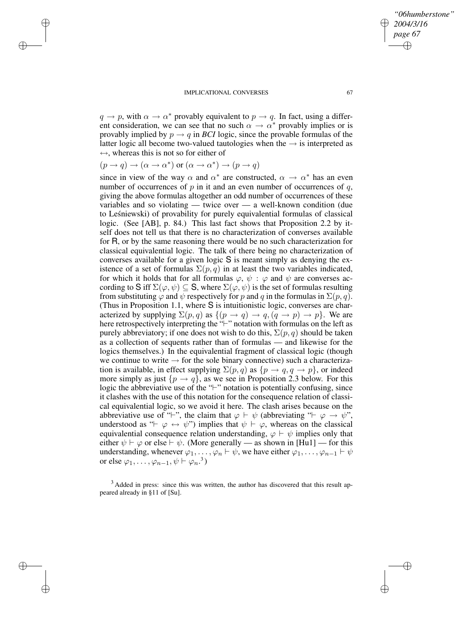IMPLICATIONAL CONVERSES 67  $q \to p$ , with  $\alpha \to \alpha^*$  provably equivalent to  $p \to q$ . In fact, using a differ-

*"06humberstone"*

*2004/3/16 page 67*

✐

✐

✐

✐

ent consideration, we can see that no such  $\alpha \to \alpha^*$  provably implies or is provably implied by  $p \rightarrow q$  in *BCI* logic, since the provable formulas of the latter logic all become two-valued tautologies when the  $\rightarrow$  is interpreted as  $\leftrightarrow$ , whereas this is not so for either of

$$
(p \to q) \to (\alpha \to \alpha^*)
$$
 or  $(\alpha \to \alpha^*) \to (p \to q)$ 

✐

✐

✐

✐

since in view of the way  $\alpha$  and  $\alpha^*$  are constructed,  $\alpha \to \alpha^*$  has an even number of occurrences of  $p$  in it and an even number of occurrences of  $q$ , giving the above formulas altogether an odd number of occurrences of these variables and so violating — twice over — a well-known condition (due to Leśniewski) of provability for purely equivalential formulas of classical logic. (See [AB], p. 84.) This last fact shows that Proposition 2.2 by itself does not tell us that there is no characterization of converses available for R, or by the same reasoning there would be no such characterization for classical equivalential logic. The talk of there being no characterization of converses available for a given logic S is meant simply as denying the existence of a set of formulas  $\Sigma(p,q)$  in at least the two variables indicated, for which it holds that for all formulas  $\varphi$ ,  $\psi$ :  $\varphi$  and  $\psi$  are converses according to S iff  $\Sigma(\varphi, \psi) \subseteq S$ , where  $\Sigma(\varphi, \psi)$  is the set of formulas resulting from substituting  $\varphi$  and  $\psi$  respectively for p and q in the formulas in  $\Sigma(p, q)$ . (Thus in Proposition 1.1, where S is intuitionistic logic, converses are characterized by supplying  $\Sigma(p,q)$  as  $\{(p \rightarrow q) \rightarrow q, (q \rightarrow p) \rightarrow p\}$ . We are here retrospectively interpreting the "-" notation with formulas on the left as purely abbreviatory; if one does not wish to do this,  $\Sigma(p,q)$  should be taken as a collection of sequents rather than of formulas — and likewise for the logics themselves.) In the equivalential fragment of classical logic (though we continue to write  $\rightarrow$  for the sole binary connective) such a characterization is available, in effect supplying  $\Sigma(p,q)$  as  $\{p \to q, q \to p\}$ , or indeed more simply as just  $\{p \to q\}$ , as we see in Proposition 2.3 below. For this logic the abbreviative use of the " $\vdash$ " notation is potentially confusing, since it clashes with the use of this notation for the consequence relation of classical equivalential logic, so we avoid it here. The clash arises because on the abbreviative use of " $\vdash$ ", the claim that  $\varphi \vdash \psi$  (abbreviating " $\vdash \varphi \rightarrow \psi$ ", understood as " $\vdash \varphi \leftrightarrow \psi$ ") implies that  $\psi \vdash \varphi$ , whereas on the classical equivalential consequence relation understanding,  $\varphi \vdash \psi$  implies only that either  $\psi \vdash \varphi$  or else  $\vdash \psi$ . (More generally — as shown in [Hu1] — for this understanding, whenever  $\varphi_1, \ldots, \varphi_n \vdash \psi$ , we have either  $\varphi_1, \ldots, \varphi_{n-1} \vdash \psi$ or else  $\varphi_1, \ldots, \varphi_{n-1}, \psi \vdash \varphi_n$ .<sup>3</sup>)

<sup>3</sup> Added in press: since this was written, the author has discovered that this result appeared already in §11 of [Su].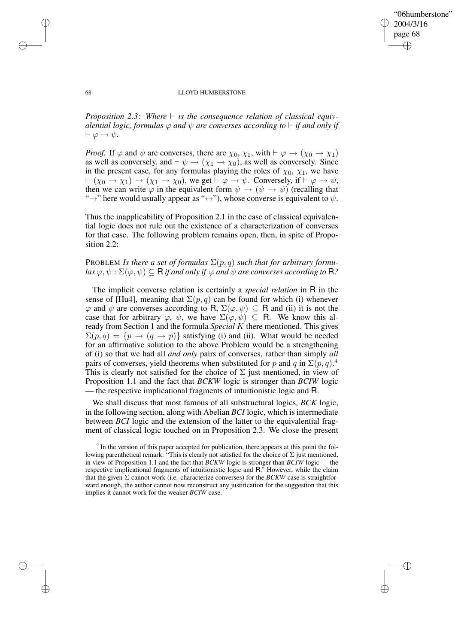✐

## 68 LLOYD HUMBERSTONE

*Proposition* 2.3: Where  $\vdash$  *is the consequence relation of classical equivalential logic, formulas*  $\varphi$  *and*  $\psi$  *are converses according to*  $\vdash$  *if and only if*  $\vdash \varphi \rightarrow \psi$ .

*Proof.* If  $\varphi$  and  $\psi$  are converses, there are  $\chi_0$ ,  $\chi_1$ , with  $\vdash \varphi \to (\chi_0 \to \chi_1)$ as well as conversely, and  $\vdash \psi \rightarrow (\chi_1 \rightarrow \chi_0)$ , as well as conversely. Since in the present case, for any formulas playing the roles of  $\chi_0$ ,  $\chi_1$ , we have  $\vdash (\chi_0 \to \chi_1) \to (\chi_1 \to \chi_0)$ , we get  $\vdash \varphi \to \psi$ . Conversely, if  $\vdash \varphi \to \psi$ , then we can write  $\varphi$  in the equivalent form  $\psi \to (\psi \to \psi)$  (recalling that " $\rightarrow$ " here would usually appear as " $\leftrightarrow$ "), whose converse is equivalent to  $\psi$ .

Thus the inapplicability of Proposition 2.1 in the case of classical equivalential logic does not rule out the existence of a characterization of converses for that case. The following problem remains open, then, in spite of Proposition 2.2:

# PROBLEM *Is there a set of formulas*  $\Sigma(p,q)$  *such that for arbitrary formu-* $\log \varphi, \psi : \Sigma(\varphi, \psi) \subseteq \mathbb{R}$  *if and only if*  $\varphi$  *and*  $\psi$  *are converses according to*  $\mathbb{R}$ ?

The implicit converse relation is certainly a *special relation* in R in the sense of [Hu4], meaning that  $\Sigma(p,q)$  can be found for which (i) whenever  $\varphi$  and  $\psi$  are converses according to R,  $\Sigma(\varphi, \psi) \subseteq R$  and (ii) it is not the case that for arbitrary  $\varphi$ ,  $\psi$ , we have  $\Sigma(\varphi, \psi) \subseteq \mathbb{R}$ . We know this already from Section 1 and the formula *Special* K there mentioned. This gives  $\Sigma(p,q) = \{p \to (q \to p)\}\$  satisfying (i) and (ii). What would be needed for an affirmative solution to the above Problem would be a strengthening of (i) so that we had all *and only* pairs of converses, rather than simply *all* pairs of converses, yield theorems when substituted for p and q in  $\Sigma(p,q)$ .<sup>4</sup> This is clearly not satisfied for the choice of  $\Sigma$  just mentioned, in view of Proposition 1.1 and the fact that *BCKW* logic is stronger than *BCIW* logic — the respective implicational fragments of intuitionistic logic and R.

We shall discuss that most famous of all substructural logics, *BCK* logic, in the following section, along with Abelian *BCI* logic, which is intermediate between *BCI* logic and the extension of the latter to the equivalential fragment of classical logic touched on in Proposition 2.3. We close the present

✐

✐

✐

<sup>&</sup>lt;sup>4</sup> In the version of this paper accepted for publication, there appears at this point the following parenthetical remark: "This is clearly not satisfied for the choice of  $\Sigma$  just mentioned, in view of Proposition 1.1 and the fact that *BCKW* logic is stronger than *BCIW* logic — the respective implicational fragments of intuitionistic logic and R." However, while the claim that the given  $\Sigma$  cannot work (i.e. characterize converses) for the *BCKW* case is straightforward enough, the author cannot now reconstruct any justification for the suggestion that this implies it cannot work for the weaker *BCIW* case.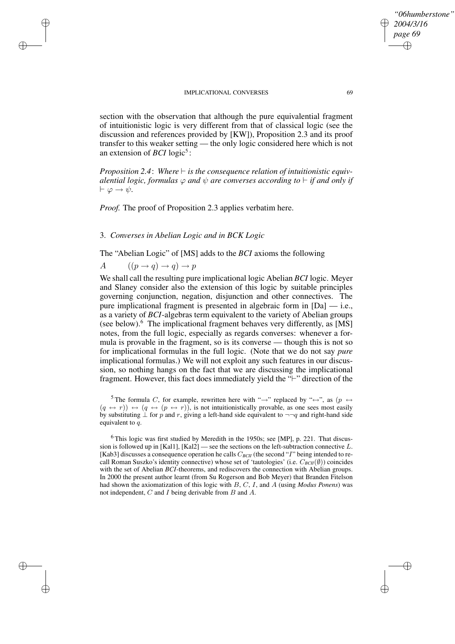section with the observation that although the pure equivalential fragment of intuitionistic logic is very different from that of classical logic (see the discussion and references provided by [KW]), Proposition 2.3 and its proof transfer to this weaker setting — the only logic considered here which is not an extension of *BCI* logic<sup>5</sup>:

*Proposition* 2.4: Where  $\vdash$  *is the consequence relation of intuitionistic equivalential logic, formulas*  $\varphi$  *and*  $\psi$  *are converses according to*  $\vdash$  *if and only if*  $\vdash \varphi \to \psi$ .

*Proof.* The proof of Proposition 2.3 applies verbatim here.

## 3. *Converses in Abelian Logic and in BCK Logic*

The "Abelian Logic" of [MS] adds to the *BCI* axioms the following

A  $((p \rightarrow q) \rightarrow q) \rightarrow p$ 

✐

✐

✐

✐

We shall call the resulting pure implicational logic Abelian *BCI* logic. Meyer and Slaney consider also the extension of this logic by suitable principles governing conjunction, negation, disjunction and other connectives. The pure implicational fragment is presented in algebraic form in [Da] — i.e., as a variety of *BCI*-algebras term equivalent to the variety of Abelian groups (see below).<sup>6</sup> The implicational fragment behaves very differently, as [MS] notes, from the full logic, especially as regards converses: whenever a formula is provable in the fragment, so is its converse — though this is not so for implicational formulas in the full logic. (Note that we do not say *pure* implicational formulas.) We will not exploit any such features in our discussion, so nothing hangs on the fact that we are discussing the implicational fragment. However, this fact does immediately yield the  $\Psi$ " direction of the

<sup>5</sup> The formula C, for example, rewritten here with " $\rightarrow$ " replaced by " $\leftrightarrow$ ", as (p  $\leftrightarrow$  $(q \leftrightarrow r) \leftrightarrow (q \leftrightarrow (p \leftrightarrow r))$ , is not intuitionistically provable, as one sees most easily by substituting  $\perp$  for p and r, giving a left-hand side equivalent to  $\neg\neg q$  and right-hand side equivalent to q.

*"06humberstone"*

*2004/3/16 page 69*

✐

✐

✐

 $6$ This logic was first studied by Meredith in the 1950s; see [MP], p. 221. That discussion is followed up in  $[Kall]$ ,  $[Kal2]$  — see the sections on the left-subtraction connective L. [Kab3] discusses a consequence operation he calls  $C_{BCH}$  (the second "I" being intended to recall Roman Suszko's identity connective) whose set of 'tautologies' (i.e. C*BCII*(∅)) coincides with the set of Abelian *BCI*-theorems, and rediscovers the connection with Abelian groups. In 2000 the present author learnt (from Su Rogerson and Bob Meyer) that Branden Fitelson had shown the axiomatization of this logic with B, C, I, and A (using *Modus Ponens*) was not independent, C and I being derivable from B and A.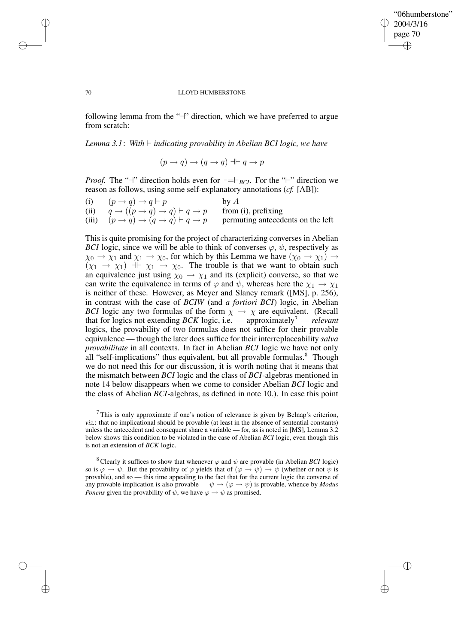## "06humberstone" 2004/3/16 page 70 ✐ ✐

✐

✐

## 70 LLOYD HUMBERSTONE

following lemma from the " $\neg$ " direction, which we have preferred to argue from scratch:

## *Lemma* 3.1: With  $\vdash$  *indicating provability in Abelian BCI logic, we have*

$$
(p \to q) \to (q \to q) \dashv \vdash q \to p
$$

*Proof.* The "<sup>-</sup>" direction holds even for  $\models =\,F_{BCI}$ . For the "<sup>-</sup>" direction we reason as follows, using some self-explanatory annotations (*cf.* [AB]):

| (i) | $(p \rightarrow q) \rightarrow q \vdash p$                                     | by $A$                            |
|-----|--------------------------------------------------------------------------------|-----------------------------------|
|     | (ii) $q \rightarrow ((p \rightarrow q) \rightarrow q) \vdash q \rightarrow p$  | from (i), prefixing               |
|     | (iii) $(p \rightarrow q) \rightarrow (q \rightarrow q) \vdash q \rightarrow p$ | permuting antecedents on the left |

This is quite promising for the project of characterizing converses in Abelian *BCI* logic, since we will be able to think of converses  $\varphi$ ,  $\psi$ , respectively as  $\chi_0 \to \chi_1$  and  $\chi_1 \to \chi_0$ , for which by this Lemma we have  $(\chi_0 \to \chi_1) \to$  $(x_1 \rightarrow x_1) + x_1 \rightarrow x_0$ . The trouble is that we want to obtain such an equivalence just using  $\chi_0 \rightarrow \chi_1$  and its (explicit) converse, so that we can write the equivalence in terms of  $\varphi$  and  $\psi$ , whereas here the  $\chi_1 \to \chi_1$ is neither of these. However, as Meyer and Slaney remark ([MS], p. 256), in contrast with the case of *BCIW* (and *a fortiori BCI*) logic, in Abelian *BCI* logic any two formulas of the form  $\chi \rightarrow \chi$  are equivalent. (Recall that for logics not extending *BCK* logic, i.e. — approximately<sup>7</sup> — *relevant* logics, the provability of two formulas does not suffice for their provable equivalence — though the later does suffice for their interreplaceability *salva provabilitate* in all contexts. In fact in Abelian *BCI* logic we have not only all "self-implications" thus equivalent, but all provable formulas.<sup>8</sup> Though we do not need this for our discussion, it is worth noting that it means that the mismatch between *BCI* logic and the class of *BCI*-algebras mentioned in note 14 below disappears when we come to consider Abelian *BCI* logic and the class of Abelian *BCI*-algebras, as defined in note 10.). In case this point

<sup>8</sup> Clearly it suffices to show that whenever  $\varphi$  and  $\psi$  are provable (in Abelian *BCI* logic) so is  $\varphi \to \psi$ . But the provability of  $\varphi$  yields that of  $(\varphi \to \psi) \to \psi$  (whether or not  $\psi$  is provable), and so — this time appealing to the fact that for the current logic the converse of any provable implication is also provable —  $\psi \rightarrow (\varphi \rightarrow \psi)$  is provable, whence by *Modus Ponens* given the provability of  $\hat{\psi}$ , we have  $\varphi \to \hat{\psi}$  as promised.

✐

✐

✐

 $<sup>7</sup>$ This is only approximate if one's notion of relevance is given by Belnap's criterion,</sup> *viz.*: that no implicational should be provable (at least in the absence of sentential constants) unless the antecedent and consequent share a variable — for, as is noted in [MS], Lemma 3.2 below shows this condition to be violated in the case of Abelian *BCI* logic, even though this is not an extension of *BCK* logic.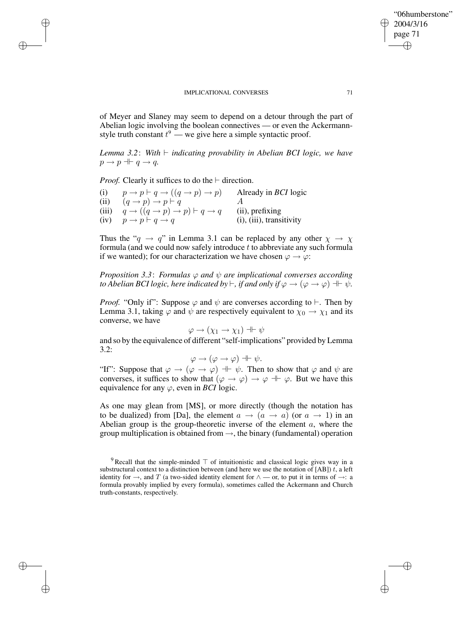of Meyer and Slaney may seem to depend on a detour through the part of Abelian logic involving the boolean connectives — or even the Ackermannstyle truth constant  $t^9$  — we give here a simple syntactic proof.

*Lemma* 3.2: With  $\vdash$  *indicating provability in Abelian BCI logic, we have*  $p \rightarrow p + q \rightarrow q$ .

*Proof.* Clearly it suffices to do the  $\vdash$  direction.

✐

✐

✐

✐

| (i)   | $p \rightarrow p \vdash q \rightarrow ((q \rightarrow p) \rightarrow p)$ | Already in <i>BCI</i> logic    |
|-------|--------------------------------------------------------------------------|--------------------------------|
| (ii)  | $(q \rightarrow p) \rightarrow p \vdash q$                               |                                |
| (iii) | $q \rightarrow ((q \rightarrow p) \rightarrow p) \vdash q \rightarrow q$ | (ii), prefixing                |
| (iv)  | $p \rightarrow p \vdash q \rightarrow q$                                 | $(i)$ , $(iii)$ , transitivity |

Thus the " $q \rightarrow q$ " in Lemma 3.1 can be replaced by any other  $\chi \rightarrow \chi$ formula (and we could now safely introduce  $t$  to abbreviate any such formula if we wanted); for our characterization we have chosen  $\varphi \to \varphi$ :

*Proposition 3.3*: *Formulas* ϕ *and* ψ *are implicational converses according to Abelian BCI logic, here indicated by*  $\vdash$ , *if and only if*  $\varphi \to (\varphi \to \varphi) \dashv \vdash \psi$ .

*Proof.* "Only if": Suppose  $\varphi$  and  $\psi$  are converses according to  $\vdash$ . Then by Lemma 3.1, taking  $\varphi$  and  $\psi$  are respectively equivalent to  $\chi_0 \to \chi_1$  and its converse, we have

$$
\varphi \to (\chi_1 \to \chi_1) \dashv \vdash \psi
$$

and so by the equivalence of different "self-implications" provided by Lemma 3.2:

$$
\varphi \to (\varphi \to \varphi) \dashv \vdash \psi.
$$

"If": Suppose that  $\varphi \to (\varphi \to \varphi) \to \psi$ . Then to show that  $\varphi$  and  $\psi$  are converses, it suffices to show that  $(\varphi \to \varphi) \to \varphi + \varphi$ . But we have this equivalence for any  $\varphi$ , even in *BCI* logic.

As one may glean from [MS], or more directly (though the notation has to be dualized) from [Da], the element  $a \to (a \to a)$  (or  $a \to 1$ ) in an Abelian group is the group-theoretic inverse of the element  $a$ , where the group multiplication is obtained from  $\rightarrow$ , the binary (fundamental) operation

"06humberstone"

2004/3/16 page 71

✐

✐

✐

<sup>&</sup>lt;sup>9</sup> Recall that the simple-minded  $\top$  of intuitionistic and classical logic gives way in a substructural context to a distinction between (and here we use the notation of  $[AB]$ ) t, a left identity for  $\rightarrow$ , and T (a two-sided identity element for  $\land$  — or, to put it in terms of  $\rightarrow$ : a formula provably implied by every formula), sometimes called the Ackermann and Church truth-constants, respectively.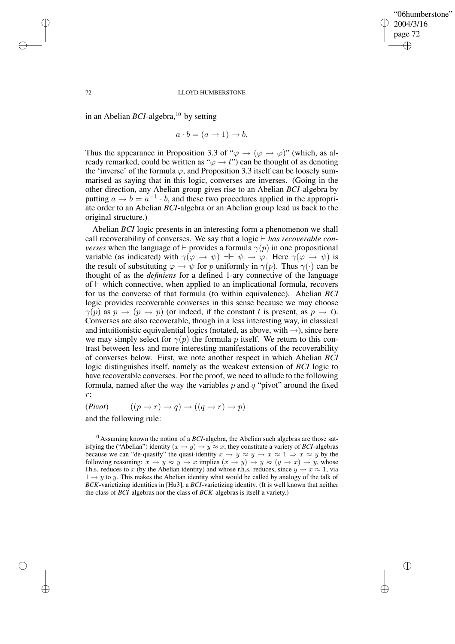✐

## 72 LLOYD HUMBERSTONE

in an Abelian *BCI*-algebra,<sup>10</sup> by setting

✐

✐

✐

✐

$$
a \cdot b = (a \to 1) \to b.
$$

Thus the appearance in Proposition 3.3 of " $\varphi \to (\varphi \to \varphi)$ " (which, as already remarked, could be written as " $\varphi \rightarrow t$ ") can be thought of as denoting the 'inverse' of the formula  $\varphi$ , and Proposition 3.3 itself can be loosely summarised as saying that in this logic, converses are inverses. (Going in the other direction, any Abelian group gives rise to an Abelian *BCI*-algebra by putting  $a \rightarrow b = a^{-1} \cdot b$ , and these two procedures applied in the appropriate order to an Abelian *BCI*-algebra or an Abelian group lead us back to the original structure.)

Abelian *BCI* logic presents in an interesting form a phenomenon we shall call recoverability of converses. We say that a logic  $\vdash$  *has recoverable converses* when the language of  $\vdash$  provides a formula  $\gamma(p)$  in one propositional variable (as indicated) with  $\gamma(\varphi \to \psi) \to \psi \to \varphi$ . Here  $\gamma(\varphi \to \psi)$  is the result of substituting  $\varphi \to \psi$  for p uniformly in  $\gamma(p)$ . Thus  $\gamma(\cdot)$  can be thought of as the *definiens* for a defined 1-ary connective of the language of  $\vdash$  which connective, when applied to an implicational formula, recovers for us the converse of that formula (to within equivalence). Abelian *BCI* logic provides recoverable converses in this sense because we may choose  $\gamma(p)$  as  $p \to (p \to p)$  (or indeed, if the constant t is present, as  $p \to t$ ). Converses are also recoverable, though in a less interesting way, in classical and intuitionistic equivalential logics (notated, as above, with  $\rightarrow$ ), since here we may simply select for  $\gamma(p)$  the formula p itself. We return to this contrast between less and more interesting manifestations of the recoverability of converses below. First, we note another respect in which Abelian *BCI* logic distinguishes itself, namely as the weakest extension of *BCI* logic to have recoverable converses. For the proof, we need to allude to the following formula, named after the way the variables  $p$  and  $q$  "pivot" around the fixed r:

 $(Pivot)$   $((p \rightarrow r) \rightarrow q) \rightarrow ((q \rightarrow r) \rightarrow p)$ 

and the following rule:

<sup>10</sup> Assuming known the notion of a *BCI*-algebra, the Abelian such algebras are those satisfying the ("Abelian") identity  $(x \to y) \to y \approx x$ ; they constitute a variety of *BCI*-algebras because we can "de-quasify" the quasi-identity  $x \to y \approx y \to x \approx 1 \Rightarrow x \approx y$  by the following reasoning:  $x \to y \approx y \to x$  implies  $(x \to y) \to y \approx (y \to x) \to y$ , whose l.h.s. reduces to x (by the Abelian identity) and whose r.h.s. reduces, since  $y \to x \approx 1$ , via  $1 \rightarrow y$  to y. This makes the Abelian identity what would be called by analogy of the talk of *BCK*-varietizing identities in [Hu3], a *BCI*-varietizing identity. (It is well known that neither the class of *BCI*-algebras nor the class of *BCK*-algebras is itself a variety.)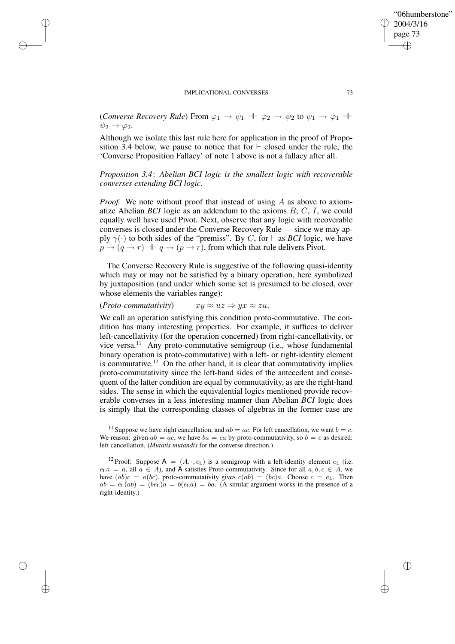✐

✐

✐

✐

*(Converse Recovery Rule)* From  $\varphi_1 \to \psi_1 + \varphi_2 \to \psi_2$  to  $\psi_1 \to \varphi_1 +$  $\psi_2 \rightarrow \varphi_2$ .

Although we isolate this last rule here for application in the proof of Proposition 3.4 below, we pause to notice that for  $\vdash$  closed under the rule, the 'Converse Proposition Fallacy' of note 1 above is not a fallacy after all.

*Proposition 3.4*: *Abelian BCI logic is the smallest logic with recoverable converses extending BCI logic.*

*Proof.* We note without proof that instead of using A as above to axiomatize Abelian *BCI* logic as an addendum to the axioms B, C, I, we could equally well have used Pivot. Next, observe that any logic with recoverable converses is closed under the Converse Recovery Rule — since we may apply  $\gamma(\cdot)$  to both sides of the "premiss". By C, for  $\vdash$  as *BCI* logic, we have  $p \rightarrow (q \rightarrow r) \parallel q \rightarrow (p \rightarrow r)$ , from which that rule delivers Pivot.

The Converse Recovery Rule is suggestive of the following quasi-identity which may or may not be satisfied by a binary operation, here symbolized by juxtaposition (and under which some set is presumed to be closed, over whose elements the variables range):

# $(Proto-commutativity)$   $xy \approx uz \Rightarrow yx \approx zu.$

We call an operation satisfying this condition proto-commutative. The condition has many interesting properties. For example, it suffices to deliver left-cancellativity (for the operation concerned) from right-cancellativity, or vice versa.<sup>11</sup> Any proto-commutative semigroup (i.e., whose fundamental binary operation is proto-commutative) with a left- or right-identity element is commutative.<sup>12</sup> On the other hand, it is clear that commutativity implies proto-commutativity since the left-hand sides of the antecedent and consequent of the latter condition are equal by commutativity, as are the right-hand sides. The sense in which the equivalential logics mentioned provide recoverable converses in a less interesting manner than Abelian *BCI* logic does is simply that the corresponding classes of algebras in the former case are

"06humberstone"

2004/3/16 page 73

✐

✐

✐

<sup>&</sup>lt;sup>11</sup> Suppose we have right cancellation, and  $ab = ac$ . For left cancellation, we want  $b = c$ . We reason: given  $ab = ac$ , we have  $ba = ca$  by proto-commutativity, so  $b = c$  as desired: left cancellation. (*Mutatis mutandis* for the converse direction.)

<sup>&</sup>lt;sup>12</sup> Proof: Suppose A =  $(A, \cdot, e_L)$  is a semigroup with a left-identity element  $e_L$  (i.e.  $e<sub>L</sub>a = a$ , all  $a \in A$ ), and A satisfies Proto-commutativity. Since for all  $a, b, c \in A$ , we have  $(ab)c = a(bc)$ , proto-commutativity gives  $c(ab) = (bc)a$ . Choose  $c = e<sub>L</sub>$ . Then  $ab = e_L(ab) = (be_L)a = b(e_La) = ba$ . (A similar argument works in the presence of a right-identity.)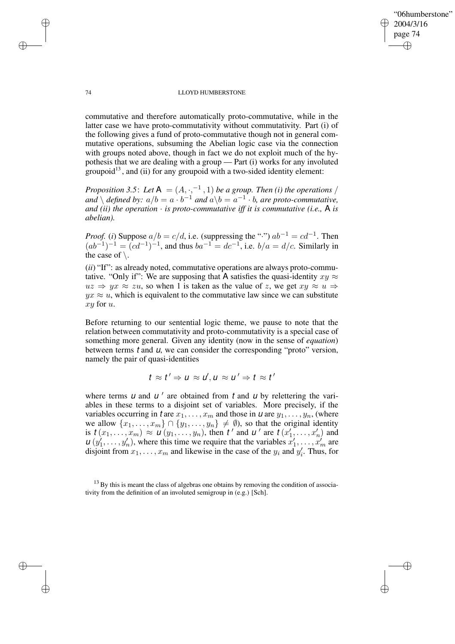✐

### 74 LLOYD HUMBERSTONE

commutative and therefore automatically proto-commutative, while in the latter case we have proto-commutativity without commutativity. Part (i) of the following gives a fund of proto-commutative though not in general commutative operations, subsuming the Abelian logic case via the connection with groups noted above, though in fact we do not exploit much of the hypothesis that we are dealing with a group — Part (i) works for any involuted groupoid<sup>13</sup>, and (ii) for any groupoid with a two-sided identity element:

*Proposition* 3.5: Let  $A = (A, \cdot, ^{-1}, 1)$  *be a group. Then (i) the operations* /  $\langle ad \rangle$  *defined by:*  $a/b = a \cdot b^{-1}$  *and*  $a \backslash b = a^{-1} \cdot b$ , *are proto-commutative*, *and (ii) the operation* · *is proto-commutative iff it is commutative (i.e.,* A *is abelian).*

*Proof.* (*i*) Suppose  $a/b = c/d$ , i.e. (suppressing the "·")  $ab^{-1} = cd^{-1}$ . Then  $(ab^{-1})^{-1} = (cd^{-1})^{-1}$ , and thus  $ba^{-1} = dc^{-1}$ , i.e.  $b/a = d/c$ . Similarly in the case of  $\setminus$ .

(*ii*) "If": as already noted, commutative operations are always proto-commutative. "Only if": We are supposing that A satisfies the quasi-identity  $xy \approx$  $uz \Rightarrow yx \approx zu$ , so when 1 is taken as the value of z, we get  $xy \approx u \Rightarrow$  $yx \approx u$ , which is equivalent to the commutative law since we can substitute xy for u.

Before returning to our sentential logic theme, we pause to note that the relation between commutativity and proto-commutativity is a special case of something more general. Given any identity (now in the sense of *equation*) between terms  $t$  and  $u$ , we can consider the corresponding "proto" version, namely the pair of quasi-identities

$$
t \approx t' \Rightarrow u \approx u', u \approx u' \Rightarrow t \approx t'
$$

where terms  *and*  $*u'*$  *are obtained from*  $*t*$  *and*  $*u*$  *by relettering the vari*ables in these terms to a disjoint set of variables. More precisely, if the variables occurring in t are  $x_1, \ldots, x_m$  and those in  $\boldsymbol{\mu}$  are  $y_1, \ldots, y_n$ , (where we allow  $\{x_1, \ldots, x_m\} \cap \{y_1, \ldots, y_n\} \neq \emptyset$ ), so that the original identity is  $t(x_1, \ldots, x_m) \approx u(y_1, \ldots, y_n)$ , then t' and u' are  $t(x'_1, \ldots, x'_n)$  and  $u(x'_2, \ldots, x'_n)$  $u(y'_1, \ldots, y'_n)$ , where this time we require that the variables  $x'_1, \ldots, x'_m$  are disjoint from  $x_1, \ldots, x_m$  and likewise in the case of the  $y_i$  and  $y'_i$ . Thus, for

✐

✐

✐

 $13$  By this is meant the class of algebras one obtains by removing the condition of associativity from the definition of an involuted semigroup in (e.g.) [Sch].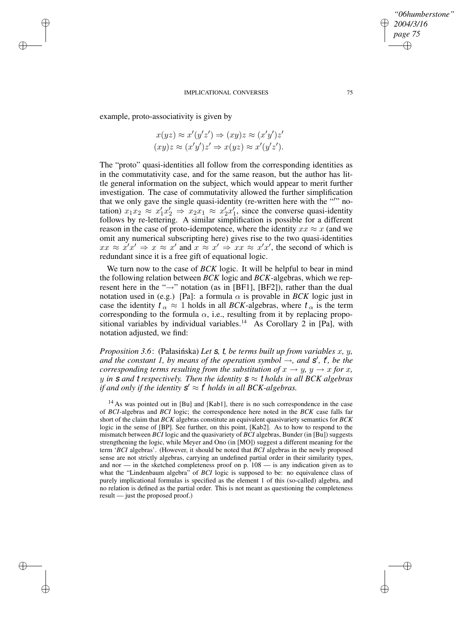example, proto-associativity is given by

✐

✐

✐

✐

$$
x(yz) \approx x'(y'z') \Rightarrow (xy)z \approx (x'y')z'
$$
  

$$
(xy)z \approx (x'y')z' \Rightarrow x(yz) \approx x'(y'z').
$$

The "proto" quasi-identities all follow from the corresponding identities as in the commutativity case, and for the same reason, but the author has little general information on the subject, which would appear to merit further investigation. The case of commutativity allowed the further simplification that we only gave the single quasi-identity (re-written here with the ""notation)  $x_1x_2 \approx x_1'x_2' \Rightarrow x_2x_1 \approx x_2'x_1'$ , since the converse quasi-identity follows by re-lettering. A similar simplification is possible for a different reason in the case of proto-idempotence, where the identity  $xx \approx x$  (and we omit any numerical subscripting here) gives rise to the two quasi-identities  $xx \approx x'x' \Rightarrow x \approx x'$  and  $x \approx x' \Rightarrow xx \approx x'x'$ , the second of which is redundant since it is a free gift of equational logic.

We turn now to the case of *BCK* logic. It will be helpful to bear in mind the following relation between *BCK* logic and *BCK*-algebras, which we represent here in the " $\rightarrow$ " notation (as in [BF1], [BF2]), rather than the dual notation used in (e.g.) [Pa]: a formula  $\alpha$  is provable in *BCK* logic just in case the identity  $t_{\alpha} \approx 1$  holds in all *BCK*-algebras, where  $t_{\alpha}$  is the term corresponding to the formula  $\alpha$ , i.e., resulting from it by replacing propositional variables by individual variables.<sup>14</sup> As Corollary 2 in [Pa], with notation adjusted, we find:

*Proposition* 3.6: (Pałasińska) Let **s**, t, be terms built up from variables x, y, *and* the constant 1, by means of the operation symbol  $\rightarrow$ , and  $\mathbf{s}'$ ,  $\mathbf{t}'$ , be the *corresponding terms resulting from the substitution of*  $x \rightarrow y$ ,  $y \rightarrow x$  *for* x, *y* in **s** and **t** respectively. Then the identity  $s \approx t$  holds in all BCK algebras *if* and only if the identity  $s' \approx t'$  holds in all BCK-algebras.

<sup>14</sup> As was pointed out in [Bu] and [Kab1], there is no such correspondence in the case of *BCI*-algebras and *BCI* logic; the correspondence here noted in the *BCK* case falls far short of the claim that *BCK* algebras constitute an equivalent quasivariety semantics for *BCK* logic in the sense of [BP]. See further, on this point, [Kab2]. As to how to respond to the mismatch between *BCI* logic and the quasivariety of *BCI* algebras, Bunder (in [Bu]) suggests strengthening the logic, while Meyer and Ono (in [MO]) suggest a different meaning for the term '*BCI* algebras'. (However, it should be noted that *BCI* algebras in the newly proposed sense are not strictly algebras, carrying an undefined partial order in their similarity types, and nor — in the sketched completeness proof on p.  $108 -$  is any indication given as to what the "Lindenbaum algebra" of *BCI* logic is supposed to be: no equivalence class of purely implicational formulas is specified as the element 1 of this (so-called) algebra, and no relation is defined as the partial order. This is not meant as questioning the completeness result — just the proposed proof.)

*"06humberstone"*

*2004/3/16 page 75*

✐

✐

✐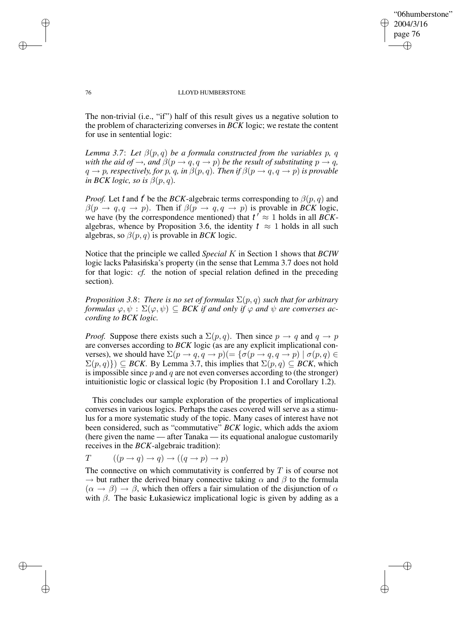✐

## 76 LLOYD HUMBERSTONE

The non-trivial (i.e., "if") half of this result gives us a negative solution to the problem of characterizing converses in *BCK* logic; we restate the content for use in sentential logic:

*Lemma* 3.7: Let  $\beta(p,q)$  *be a formula constructed from the variables p, q with the aid of*  $\rightarrow$ *, and*  $\beta(p \rightarrow q, q \rightarrow p)$  *be the result of substituting*  $p \rightarrow q$ *,*  $q \rightarrow p$ *, respectively, for* p*,* q*, in*  $\beta(p,q)$ *. Then if*  $\beta(p \rightarrow q, q \rightarrow p)$  *is provable in BCK logic, so is*  $\beta(p, q)$ *.* 

*Proof.* Let t and t' be the *BCK*-algebraic terms corresponding to  $\beta(p, q)$  and  $\beta(p \to q, q \to p)$ . Then if  $\beta(p \to q, q \to p)$  is provable in *BCK* logic, we have (by the correspondence mentioned) that  $t' \approx 1$  holds in all *BCK*algebras, whence by Proposition 3.6, the identity  $t \approx 1$  holds in all such algebras, so  $\beta(p,q)$  is provable in *BCK* logic.

Notice that the principle we called *Special* K in Section 1 shows that *BCIW* logic lacks Pałasińska's property (in the sense that Lemma 3.7 does not hold for that logic: *cf.* the notion of special relation defined in the preceding section).

*Proposition* 3.8: *There is no set of formulas*  $\Sigma(p,q)$  *such that for arbitrary formulas*  $\varphi, \psi$ :  $\Sigma(\varphi, \psi) \subseteq BCK$  *if and only if*  $\varphi$  *and*  $\psi$  *are converses according to BCK logic.*

*Proof.* Suppose there exists such a  $\Sigma(p,q)$ . Then since  $p \rightarrow q$  and  $q \rightarrow p$ are converses according to *BCK* logic (as are any explicit implicational converses), we should have  $\Sigma(p \to q, q \to p)$  $(=\{\sigma(p \to q, q \to p) \mid \sigma(p,q) \in$  $\Sigma(p,q)$ )  $\subseteq$  *BCK*. By Lemma 3.7, this implies that  $\Sigma(p,q) \subseteq$  *BCK*, which is impossible since  $p$  and  $q$  are not even converses according to (the stronger) intuitionistic logic or classical logic (by Proposition 1.1 and Corollary 1.2).

This concludes our sample exploration of the properties of implicational converses in various logics. Perhaps the cases covered will serve as a stimulus for a more systematic study of the topic. Many cases of interest have not been considered, such as "commutative" *BCK* logic, which adds the axiom (here given the name — after Tanaka — its equational analogue customarily receives in the *BCK*-algebraic tradition):

$$
T \qquad ((p \to q) \to q) \to ((q \to p) \to p)
$$

The connective on which commutativity is conferred by  $T$  is of course not  $\rightarrow$  but rather the derived binary connective taking  $\alpha$  and  $\beta$  to the formula  $(\alpha \rightarrow \beta) \rightarrow \beta$ , which then offers a fair simulation of the disjunction of  $\alpha$ with  $\beta$ . The basic Łukasiewicz implicational logic is given by adding as a

✐

✐

✐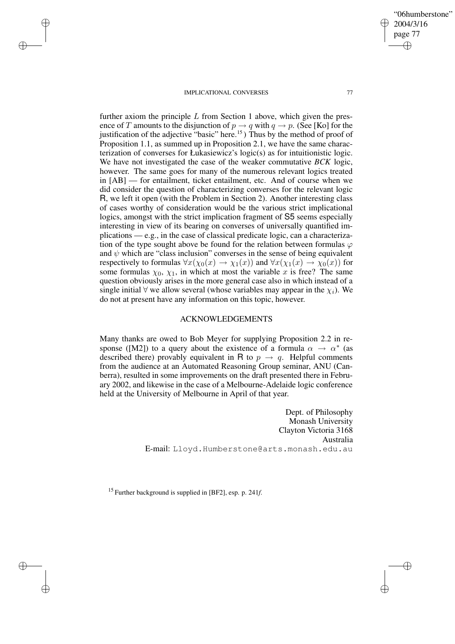✐

✐

✐

✐

✐

"06humberstone"

2004/3/16

✐

✐

further axiom the principle  $L$  from Section 1 above, which given the presence of T amounts to the disjunction of  $p \to q$  with  $q \to p$ . (See [Ko] for the justification of the adjective "basic" here.<sup>15</sup> ) Thus by the method of proof of Proposition 1.1, as summed up in Proposition 2.1, we have the same characterization of converses for Łukasiewicz's logic(s) as for intuitionistic logic. We have not investigated the case of the weaker commutative *BCK* logic, however. The same goes for many of the numerous relevant logics treated in [AB] — for entailment, ticket entailment, etc. And of course when we did consider the question of characterizing converses for the relevant logic R, we left it open (with the Problem in Section 2). Another interesting class of cases worthy of consideration would be the various strict implicational logics, amongst with the strict implication fragment of S5 seems especially interesting in view of its bearing on converses of universally quantified implications — e.g., in the case of classical predicate logic, can a characterization of the type sought above be found for the relation between formulas  $\varphi$ and  $\psi$  which are "class inclusion" converses in the sense of being equivalent respectively to formulas  $\forall x(\chi_0(x) \to \chi_1(x))$  and  $\forall x(\chi_1(x) \to \chi_0(x))$  for some formulas  $\chi_0$ ,  $\chi_1$ , in which at most the variable x is free? The same question obviously arises in the more general case also in which instead of a single initial  $\forall$  we allow several (whose variables may appear in the  $\chi_i$ ). We do not at present have any information on this topic, however.

## ACKNOWLEDGEMENTS

Many thanks are owed to Bob Meyer for supplying Proposition 2.2 in response ([M2]) to a query about the existence of a formula  $\alpha \to \alpha^*$  (as described there) provably equivalent in R to  $p \rightarrow q$ . Helpful comments from the audience at an Automated Reasoning Group seminar, ANU (Canberra), resulted in some improvements on the draft presented there in February 2002, and likewise in the case of a Melbourne-Adelaide logic conference held at the University of Melbourne in April of that year.

> Dept. of Philosophy Monash University Clayton Victoria 3168 Australia E-mail: Lloyd.Humberstone@arts.monash.edu.au

<sup>15</sup> Further background is supplied in [BF2], esp. p. 241*f*.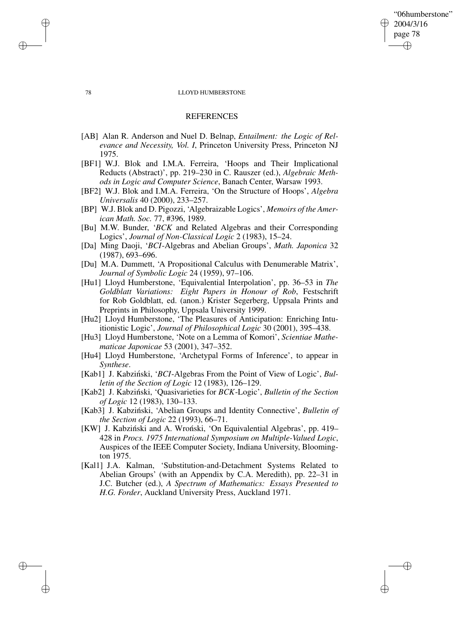## "06humberstone" 2004/3/16 page 78 ✐ ✐

✐

✐

## 78 LLOYD HUMBERSTONE

## REFERENCES

- [AB] Alan R. Anderson and Nuel D. Belnap, *Entailment: the Logic of Relevance and Necessity, Vol. I*, Princeton University Press, Princeton NJ 1975.
- [BF1] W.J. Blok and I.M.A. Ferreira, 'Hoops and Their Implicational Reducts (Abstract)', pp. 219–230 in C. Rauszer (ed.), *Algebraic Methods in Logic and Computer Science*, Banach Center, Warsaw 1993.
- [BF2] W.J. Blok and I.M.A. Ferreira, 'On the Structure of Hoops', *Algebra Universalis* 40 (2000), 233–257.
- [BP] W.J. Blok and D. Pigozzi, 'Algebraizable Logics', *Memoirs of the American Math. Soc.* 77, #396, 1989.
- [Bu] M.W. Bunder, '*BCK* and Related Algebras and their Corresponding Logics', *Journal of Non-Classical Logic* 2 (1983), 15–24.
- [Da] Ming Daoji, '*BCI*-Algebras and Abelian Groups', *Math. Japonica* 32 (1987), 693–696.
- [Du] M.A. Dummett, 'A Propositional Calculus with Denumerable Matrix', *Journal of Symbolic Logic* 24 (1959), 97–106.
- [Hu1] Lloyd Humberstone, 'Equivalential Interpolation', pp. 36–53 in *The Goldblatt Variations: Eight Papers in Honour of Rob*, Festschrift for Rob Goldblatt, ed. (anon.) Krister Segerberg, Uppsala Prints and Preprints in Philosophy, Uppsala University 1999.
- [Hu2] Lloyd Humberstone, 'The Pleasures of Anticipation: Enriching Intuitionistic Logic', *Journal of Philosophical Logic* 30 (2001), 395–438.
- [Hu3] Lloyd Humberstone, 'Note on a Lemma of Komori', *Scientiae Mathematicae Japonicae* 53 (2001), 347–352.
- [Hu4] Lloyd Humberstone, 'Archetypal Forms of Inference', to appear in *Synthese*.
- [Kab1] J. Kabziński, '*BCI*-Algebras From the Point of View of Logic', *Bulletin of the Section of Logic* 12 (1983), 126–129.
- [Kab2] J. Kabzinski, ´ 'Quasivarieties for *BCK*-Logic', *Bulletin of the Section of Logic* 12 (1983), 130–133.
- [Kab3] J. Kabziński, 'Abelian Groups and Identity Connective', *Bulletin of the Section of Logic* 22 (1993), 66–71.
- [KW] J. Kabziński and A. Wroński, 'On Equivalential Algebras', pp. 419– 428 in *Procs. 1975 International Symposium on Multiple-Valued Logic*, Auspices of the IEEE Computer Society, Indiana University, Bloomington 1975.
- [Kal1] J.A. Kalman, 'Substitution-and-Detachment Systems Related to Abelian Groups' (with an Appendix by C.A. Meredith), pp. 22–31 in J.C. Butcher (ed.), *A Spectrum of Mathematics: Essays Presented to H.G. Forder*, Auckland University Press, Auckland 1971.

✐

✐

✐